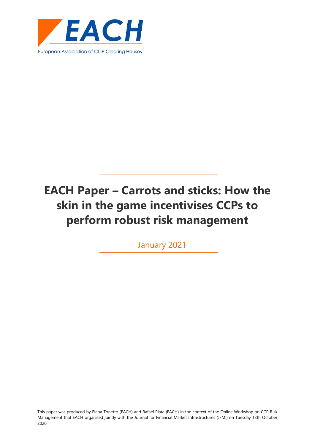

January 2021

This paper was produced by Elena Tonetto (EACH) and Rafael Plata (EACH) in the context of the Online Workshop on CCP Risk Management that EACH organised jointly with the Journal for Financial Market Infrastructures (JFMI) on Tuesday 13th October 2020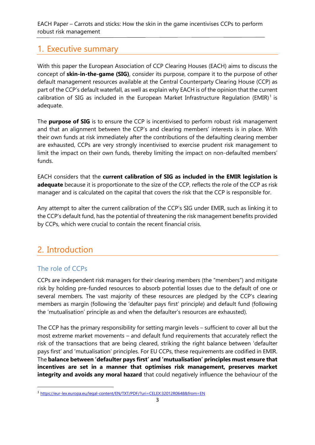# <span id="page-2-0"></span>1. Executive summary

With this paper the European Association of CCP Clearing Houses (EACH) aims to discuss the concept of **skin-in-the-game (SIG)**, consider its purpose, compare it to the purpose of other default management resources available at the Central Counterparty Clearing House (CCP) as part of the CCP's default waterfall, as well as explain why EACH is of the opinion that the current calibration of SIG as included in the European Market Infrastructure Regulation (EMIR)<sup>1</sup> is adequate.

The **purpose of SIG** is to ensure the CCP is incentivised to perform robust risk management and that an alignment between the CCP's and clearing members' interests is in place. With their own funds at risk immediately after the contributions of the defaulting clearing member are exhausted, CCPs are very strongly incentivised to exercise prudent risk management to limit the impact on their own funds, thereby limiting the impact on non-defaulted members' funds.

EACH considers that the **current calibration of SIG as included in the EMIR legislation is adequate** because it is proportionate to the size of the CCP, reflects the role of the CCP as risk manager and is calculated on the capital that covers the risk that the CCP is responsible for.

Any attempt to alter the current calibration of the CCP's SIG under EMIR, such as linking it to the CCP's default fund, has the potential of threatening the risk management benefits provided by CCPs, which were crucial to contain the recent financial crisis.

# <span id="page-2-1"></span>2. Introduction

## The role of CCPs

CCPs are independent risk managers for their clearing members (the "members") and mitigate risk by holding pre-funded resources to absorb potential losses due to the default of one or several members. The vast majority of these resources are pledged by the CCP's clearing members as margin (following the 'defaulter pays first' principle) and default fund (following the 'mutualisation' principle as and when the defaulter's resources are exhausted).

The CCP has the primary responsibility for setting margin levels – sufficient to cover all but the most extreme market movements – and default fund requirements that accurately reflect the risk of the transactions that are being cleared, striking the right balance between 'defaulter pays first' and 'mutualisation' principles. For EU CCPs, these requirements are codified in EMIR. The **balance between 'defaulter pays first' and 'mutualisation' principles must ensure that incentives are set in a manner that optimises risk management, preserves market integrity and avoids any moral hazard** that could negatively influence the behaviour of the

<sup>&</sup>lt;sup>1</sup> <https://eur-lex.europa.eu/legal-content/EN/TXT/PDF/?uri=CELEX:32012R0648&from=EN>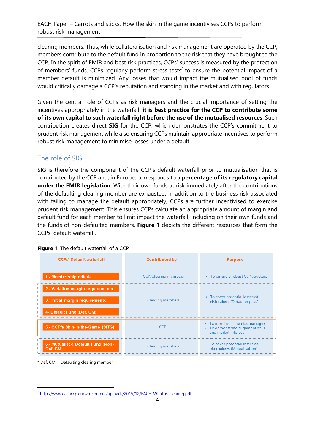clearing members. Thus, while collateralisation and risk management are operated by the CCP, members contribute to the default fund in proportion to the risk that they have brought to the CCP. In the spirit of EMIR and best risk practices, CCPs' success is measured by the protection of members' funds. CCPs regularly perform stress tests<sup>2</sup> to ensure the potential impact of a member default is minimized. Any losses that would impact the mutualised pool of funds would critically damage a CCP's reputation and standing in the market and with regulators.

Given the central role of CCPs as risk managers and the crucial importance of setting the incentives appropriately in the waterfall, **it is best practice for the CCP to contribute some of its own capital to such waterfall right before the use of the mutualised resources**. Such contribution creates direct **SIG** for the CCP, which demonstrates the CCP's commitment to prudent risk management while also ensuring CCPs maintain appropriate incentives to perform robust risk management to minimise losses under a default.

### The role of SIG

SIG is therefore the component of the CCP's default waterfall prior to mutualisation that is contributed by the CCP and, in Europe, corresponds to a **percentage of its regulatory capital under the EMIR legislation**. With their own funds at risk immediately after the contributions of the defaulting clearing member are exhausted, in addition to the business risk associated with failing to manage the default appropriately, CCPs are further incentivised to exercise prudent risk management. This ensures CCPs calculate an appropriate amount of margin and default fund for each member to limit impact the waterfall, including on their own funds and the funds of non-defaulted members. **Figure 1** depicts the different resources that form the CCPs' default waterfall.

| <b>CCPs' Default waterfall</b>                                                                    | <b>Contributed by</b>       | <b>Purpose</b>                                                                                |
|---------------------------------------------------------------------------------------------------|-----------------------------|-----------------------------------------------------------------------------------------------|
| 1.- Membership criteria                                                                           | <b>CCP/Clearing members</b> | • To ensure a robust CCP structure                                                            |
| 2.- Variation margin requirements<br>3.- Initial margin requirements<br>4- Default Fund (Def. CM) | <b>Clearing members</b>     | To cover potential losses of<br>٠<br>risk takers (Defaulter pays)                             |
| 5.- CCP's Skin-in-the-Game (SITG)                                                                 | CCP.                        | • To incentivise the risk manager<br>• To demonstrate alignment of CCP<br>and market interest |
| 6.- Mutualised Default Fund (Non-<br>Def. CM)                                                     | <b>Clearing members</b>     | To cover potential losses of<br>٠<br>risk takers (Mutualisation)                              |

**Figure 1**: The default waterfall of a CCP

<sup>\*</sup> Def. CM = Defaulting clearing member

<sup>&</sup>lt;sup>2</sup> <http://www.eachccp.eu/wp-content/uploads/2015/12/EACH-What-is-clearing.pdf>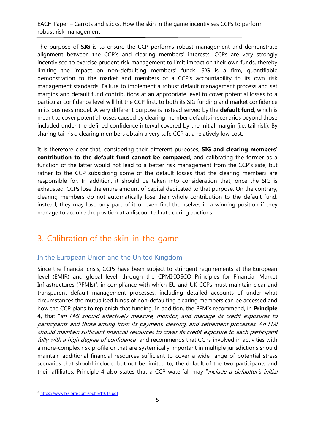The purpose of **SIG** is to ensure the CCP performs robust management and demonstrate alignment between the CCP's and clearing members' interests. CCPs are very strongly incentivised to exercise prudent risk management to limit impact on their own funds, thereby limiting the impact on non-defaulting members' funds. SIG is a firm, quantifiable demonstration to the market and members of a CCP's accountability to its own risk management standards. Failure to implement a robust default management process and set margins and default fund contributions at an appropriate level to cover potential losses to a particular confidence level will hit the CCP first, to both its SIG funding and market confidence in its business model. A very different purpose is instead served by the **default fund**, which is meant to cover potential losses caused by clearing member defaults in scenarios beyond those included under the defined confidence interval covered by the initial margin (i.e. tail risk). By sharing tail risk, clearing members obtain a very safe CCP at a relatively low cost.

It is therefore clear that, considering their different purposes, **SIG and clearing members' contribution to the default fund cannot be compared**, and calibrating the former as a function of the latter would not lead to a better risk management from the CCP's side, but rather to the CCP subsidizing some of the default losses that the clearing members are responsible for. In addition, it should be taken into consideration that, once the SIG is exhausted, CCPs lose the entire amount of capital dedicated to that purpose. On the contrary, clearing members do not automatically lose their whole contribution to the default fund: instead, they may lose only part of it or even find themselves in a winning position if they manage to acquire the position at a discounted rate during auctions.

# <span id="page-4-0"></span>3. Calibration of the skin-in-the-game

### In the European Union and the United Kingdom

Since the financial crisis, CCPs have been subject to stringent requirements at the European level (EMIR) and global level, through the CPMI-IOSCO Principles for Financial Market Infrastructures (PFMIs) $3$ , in compliance with which EU and UK CCPs must maintain clear and transparent default management processes, including detailed accounts of under what circumstances the mutualised funds of non-defaulting clearing members can be accessed and how the CCP plans to replenish that funding. In addition, the PFMIs recommend, in **Principle 4**, that "an FMI should effectively measure, monitor, and manage its credit exposures to participants and those arising from its payment, clearing, and settlement processes. An FMI should maintain sufficient financial resources to cover its credit exposure to each participant fully with a high degree of confidence" and recommends that CCPs involved in activities with a more-complex risk profile or that are systemically important in multiple jurisdictions should maintain additional financial resources sufficient to cover a wide range of potential stress scenarios that should include, but not be limited to, the default of the two participants and their affiliates. Principle 4 also states that a CCP waterfall may "include a defaulter's initial

<sup>3</sup> <https://www.bis.org/cpmi/publ/d101a.pdf>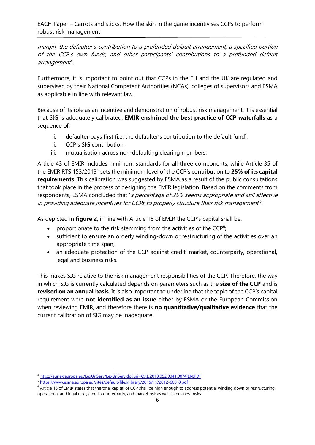margin, the defaulter's contribution to a prefunded default arrangement, a specified portion of the CCP's own funds, and other participants' contributions to a prefunded default arrangement".

Furthermore, it is important to point out that CCPs in the EU and the UK are regulated and supervised by their National Competent Authorities (NCAs), colleges of supervisors and ESMA as applicable in line with relevant law.

Because of its role as an incentive and demonstration of robust risk management, it is essential that SIG is adequately calibrated. **EMIR enshrined the best practice of CCP waterfalls** as a sequence of:

- i. defaulter pays first (i.e. the defaulter's contribution to the default fund),
- ii. CCP's SIG contribution,
- iii. mutualisation across non-defaulting clearing members.

Article 43 of EMIR includes minimum standards for all three components, while Article 35 of the EMIR RTS 153/2013<sup>4</sup> sets the minimum level of the CCP's contribution to 25% of its capital **requirements**. This calibration was suggested by ESMA as a result of the public consultations that took place in the process of designing the EMIR legislation. Based on the comments from respondents, ESMA concluded that 'a percentage of 25% seems appropriate and still effective in providing adequate incentives for CCPs to properly structure their risk management<sup>5</sup>.

As depicted in **figure 2**, in line with Article 16 of EMIR the CCP's capital shall be:

- proportionate to the risk stemming from the activities of the CCP<sup>6</sup>;
- sufficient to ensure an orderly winding-down or restructuring of the activities over an appropriate time span;
- an adequate protection of the CCP against credit, market, counterparty, operational, legal and business risks.

This makes SIG relative to the risk management responsibilities of the CCP. Therefore, the way in which SIG is currently calculated depends on parameters such as the **size of the CCP** and is **revised on an annual basis**. It is also important to underline that the topic of the CCP's capital requirement were **not identified as an issue** either by ESMA or the European Commission when reviewing EMIR, and therefore there is **no quantitative/qualitative evidence** that the current calibration of SIG may be inadequate.

<sup>4</sup> <http://eurlex.europa.eu/LexUriServ/LexUriServ.do?uri=OJ:L:2013:052:0041:0074:EN:PDF>

<sup>&</sup>lt;sup>5</sup> [https://www.esma.europa.eu/sites/default/files/library/2015/11/2012-600\\_0.pdf](https://www.esma.europa.eu/sites/default/files/library/2015/11/2012-600_0.pdf)

 $6$  Article 16 of EMIR states that the total capital of CCP shall be high enough to address potential winding down or restructuring, operational and legal risks, credit, counterparty, and market risk as well as business risks.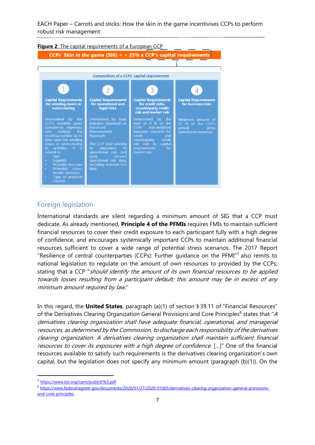

#### Foreign legislation

International standards are silent regarding a minimum amount of SIG that a CCP must dedicate. As already mentioned, **Principle 4 of the PFMIs** requires FMIs to maintain sufficient financial resources to cover their credit exposure to each participant fully with a high degree of confidence, and encourages systemically important CCPs to maintain additional financial resources sufficient to cover a wide range of potential stress scenarios. The 2017 Report "Resilience of central counterparties (CCPs): Further guidance on the PFMI" $7$  also remits to national legislation to regulate on the amount of own resources to provided by the CCPs, stating that a CCP "should identify the amount of its own financial resources to be applied towards losses resulting from a participant default; this amount may be in excess of any minimum amount required by law."

In this regard, the **United States**, paragraph (a)(1) of section § 39.11 of "Financial Resources" of the Derivatives Clearing Organization General Provisions and Core Principles<sup>8</sup> states that "A derivatives clearing organization shall have adequate financial, operational, and managerial resources, as determined by the Commission, to discharge each responsibility of the derivatives clearing organization. A derivatives clearing organization shall maintain sufficient financial resources to cover its exposures with a high degree of confidence. [...]" One of the financial resources available to satisfy such requirements is the derivatives clearing organization's own capital, but the legislation does not specify any minimum amount (paragraph (b)(1)). On the

<sup>&</sup>lt;sup>7</sup> <https://www.bis.org/cpmi/publ/d163.pdf>

<sup>8</sup> [https://www.federalregister.gov/documents/2020/01/27/2020-01065/derivatives-clearing-organization-general-provisions](https://www.federalregister.gov/documents/2020/01/27/2020-01065/derivatives-clearing-organization-general-provisions-and-core-principles)[and-core-principles](https://www.federalregister.gov/documents/2020/01/27/2020-01065/derivatives-clearing-organization-general-provisions-and-core-principles)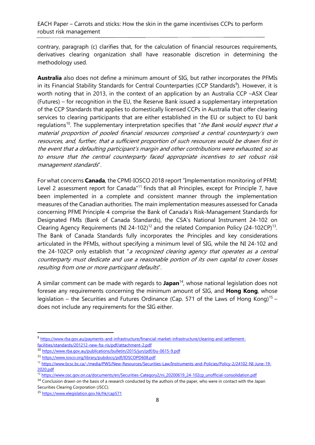contrary, paragraph (c) clarifies that, for the calculation of financial resources requirements, derivatives clearing organization shall have reasonable discretion in determining the methodology used.

**Australia** also does not define a minimum amount of SIG, but rather incorporates the PFMIs in its Financial Stability Standards for Central Counterparties (CCP Standards<sup>9</sup>). However, it is worth noting that in 2013, in the context of an application by an Australia CCP –ASX Clear (Futures) – for recognition in the EU, the Reserve Bank issued a supplementary interpretation of the CCP Standards that applies to domestically licensed CCPs in Australia that offer clearing services to clearing participants that are either established in the EU or subject to EU bank regulations<sup>10</sup>. The supplementary interpretation specifies that "the Bank would expect that a material proportion of pooled financial resources comprised a central counterparty's own resources, and, further, that a sufficient proportion of such resources would be drawn first in the event that a defaulting participant's margin and other contributions were exhausted, so as to ensure that the central counterparty faced appropriate incentives to set robust risk management standards".

For what concerns **Canada**, the CPMI-IOSCO 2018 report "Implementation monitoring of PFMI: Level 2 assessment report for Canada<sup>"11</sup> finds that all Principles, except for Principle 7, have been implemented in a complete and consistent manner through the implementation measures of the Canadian authorities. The main implementation measures assessed for Canada concerning PFMI Principle 4 comprise the Bank of Canada's Risk-Management Standards for Designated FMIs (Bank of Canada Standards), the CSA's National Instrument 24-102 on Clearing Agency Requirements (NI 24-102)<sup>12</sup> and the related Companion Policy (24-102CP)<sup>13</sup>. The Bank of Canada Standards fully incorporates the Principles and key considerations articulated in the PFMIs, without specifying a minimum level of SIG, while the NI 24-102 and the 24-102CP only establish that "a recognized clearing agency that operates as a central counterparty must dedicate and use a reasonable portion of its own capital to cover losses resulting from one or more participant defaults".

A similar comment can be made with regards to **Japan**<sup>14</sup>, whose national legislation does not foresee any requirements concerning the minimum amount of SIG, and **Hong Kong**, whose legislation – the Securities and Futures Ordinance (Cap. 571 of the Laws of Hong Kong)<sup>15</sup> – does not include any requirements for the SIG either.

<sup>9</sup> [https://www.rba.gov.au/payments-and-infrastructure/financial-market-infrastructure/clearing-and-settlement](https://www.rba.gov.au/payments-and-infrastructure/financial-market-infrastructure/clearing-and-settlement-facilities/standards/201212-new-fss-ris/pdf/attachment-2.pdf)[facilities/standards/201212-new-fss-ris/pdf/attachment-2.pdf](https://www.rba.gov.au/payments-and-infrastructure/financial-market-infrastructure/clearing-and-settlement-facilities/standards/201212-new-fss-ris/pdf/attachment-2.pdf)

<sup>10</sup> <https://www.rba.gov.au/publications/bulletin/2015/jun/pdf/bu-0615-9.pdf>

<sup>11</sup> <https://www.iosco.org/library/pubdocs/pdf/IOSCOPD608.pdf>

<sup>12</sup> [https://www.bcsc.bc.ca/-/media/PWS/New-Resources/Securities-Law/Instruments-and-Policies/Policy-2/24102-NI-June-19-](https://www.bcsc.bc.ca/-/media/PWS/New-Resources/Securities-Law/Instruments-and-Policies/Policy-2/24102-NI-June-19-2020.pdf) [2020.pdf](https://www.bcsc.bc.ca/-/media/PWS/New-Resources/Securities-Law/Instruments-and-Policies/Policy-2/24102-NI-June-19-2020.pdf)

<sup>13</sup> [https://www.osc.gov.on.ca/documents/en/Securities-Category2/ni\\_20200619\\_24-102cp\\_unofficial-consolidation.pdf](https://www.osc.gov.on.ca/documents/en/Securities-Category2/ni_20200619_24-102cp_unofficial-consolidation.pdf)

<sup>&</sup>lt;sup>14</sup> Conclusion drawn on the basis of a research conducted by the authors of the paper, who were in contact with the Japan Securities Clearing Corporation (JSCC).

<sup>15</sup> <https://www.elegislation.gov.hk/hk/cap571>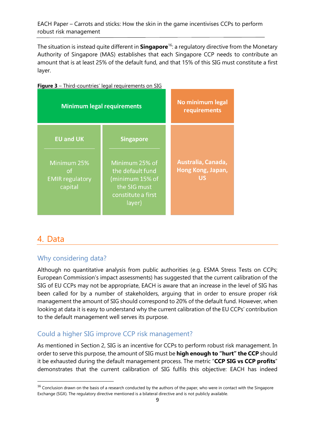The situation is instead quite different in **Singapore**<sup>16</sup>: a regulatory directive from the Monetary Authority of Singapore (MAS) establishes that each Singapore CCP needs to contribute an amount that is at least 25% of the default fund, and that 15% of this SIG must constitute a first layer.



#### **Figure 3** – Third-countries' legal requirements on SIG

# <span id="page-8-0"></span>4. Data

#### Why considering data?

Although no quantitative analysis from public authorities (e.g. ESMA Stress Tests on CCPs; European Commission's impact assessments) has suggested that the current calibration of the SIG of EU CCPs may not be appropriate, EACH is aware that an increase in the level of SIG has been called for by a number of stakeholders, arguing that in order to ensure proper risk management the amount of SIG should correspond to 20% of the default fund. However, when looking at data it is easy to understand why the current calibration of the EU CCPs' contribution to the default management well serves its purpose.

### Could a higher SIG improve CCP risk management?

As mentioned in Section 2, SIG is an incentive for CCPs to perform robust risk management. In order to serve this purpose, the amount of SIG must be **high enough to "hurt" the CCP** should it be exhausted during the default management process. The metric "**CCP SIG vs CCP profits**" demonstrates that the current calibration of SIG fulfils this objective: EACH has indeed

<sup>&</sup>lt;sup>16</sup> Conclusion drawn on the basis of a research conducted by the authors of the paper, who were in contact with the Singapore Exchange (SGX). The regulatory directive mentioned is a bilateral directive and is not publicly available.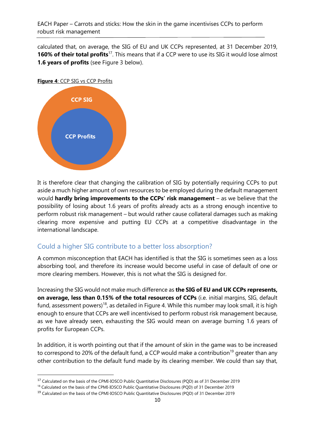calculated that, on average, the SIG of EU and UK CCPs represented, at 31 December 2019, 160% of their total profits<sup>17</sup>. This means that if a CCP were to use its SIG it would lose almost **1.6 years of profits** (see Figure 3 below).

#### **Figure 4**: CCP SIG vs CCP Profits



It is therefore clear that changing the calibration of SIG by potentially requiring CCPs to put aside a much higher amount of own resources to be employed during the default management would **hardly bring improvements to the CCPs' risk management** – as we believe that the possibility of losing about 1.6 years of profits already acts as a strong enough incentive to perform robust risk management – but would rather cause collateral damages such as making clearing more expensive and putting EU CCPs at a competitive disadvantage in the international landscape.

### Could a higher SIG contribute to a better loss absorption?

A common misconception that EACH has identified is that the SIG is sometimes seen as a loss absorbing tool, and therefore its increase would become useful in case of default of one or more clearing members. However, this is not what the SIG is designed for.

Increasing the SIG would not make much difference as **the SIG of EU and UK CCPs represents, on average, less than 0.15% of the total resources of CCPs** (i.e. initial margins, SIG, default fund, assessment powers)<sup>18</sup>, as detailed in Figure 4. While this number may look small, it is high enough to ensure that CCPs are well incentivised to perform robust risk management because, as we have already seen, exhausting the SIG would mean on average burning 1.6 years of profits for European CCPs.

In addition, it is worth pointing out that if the amount of skin in the game was to be increased to correspond to 20% of the default fund, a CCP would make a contribution<sup>19</sup> greater than any other contribution to the default fund made by its clearing member. We could than say that,

<sup>17</sup> Calculated on the basis of the CPMI-IOSCO Public Quantitative Disclosures (PQD) as of 31 December 2019

<sup>&</sup>lt;sup>18</sup> Calculated on the basis of the CPMI-IOSCO Public Quantitative Disclosures (POD) of 31 December 2019

<sup>19</sup> Calculated on the basis of the CPMI-IOSCO Public Quantitative Disclosures (PQD) of 31 December 2019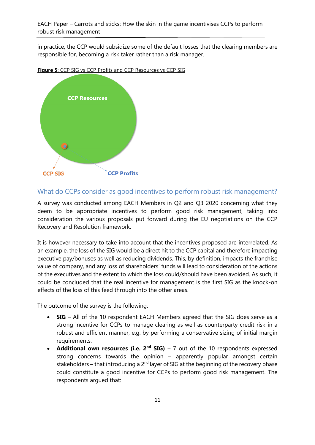in practice, the CCP would subsidize some of the default losses that the clearing members are responsible for, becoming a risk taker rather than a risk manager.





### What do CCPs consider as good incentives to perform robust risk management?

A survey was conducted among EACH Members in Q2 and Q3 2020 concerning what they deem to be appropriate incentives to perform good risk management, taking into consideration the various proposals put forward during the EU negotiations on the CCP Recovery and Resolution framework.

It is however necessary to take into account that the incentives proposed are interrelated. As an example, the loss of the SIG would be a direct hit to the CCP capital and therefore impacting executive pay/bonuses as well as reducing dividends. This, by definition, impacts the franchise value of company, and any loss of shareholders' funds will lead to consideration of the actions of the executives and the extent to which the loss could/should have been avoided. As such, it could be concluded that the real incentive for management is the first SIG as the knock-on effects of the loss of this feed through into the other areas.

The outcome of the survey is the following:

- **SIG** All of the 10 respondent EACH Members agreed that the SIG does serve as a strong incentive for CCPs to manage clearing as well as counterparty credit risk in a robust and efficient manner, e.g. by performing a conservative sizing of initial margin requirements.
- **Additional own resources (i.e. 2<sup>nd</sup> SIG)** 7 out of the 10 respondents expressed strong concerns towards the opinion – apparently popular amongst certain stakeholders – that introducing a  $2^{nd}$  layer of SIG at the beginning of the recovery phase could constitute a good incentive for CCPs to perform good risk management. The respondents argued that: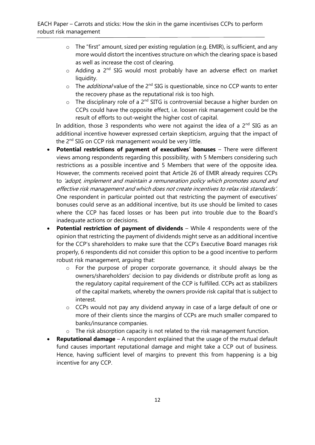- o The "first" amount, sized per existing regulation (e.g. EMIR), is sufficient, and any more would distort the incentives structure on which the clearing space is based as well as increase the cost of clearing.
- $\circ$  Adding a 2<sup>nd</sup> SIG would most probably have an adverse effect on market liquidity.
- $\circ$  The *additional* value of the 2<sup>nd</sup> SIG is questionable, since no CCP wants to enter the recovery phase as the reputational risk is too high.
- $\circ$  The disciplinary role of a 2<sup>nd</sup> SITG is controversial because a higher burden on CCPs could have the opposite effect, i.e. loosen risk management could be the result of efforts to out-weight the higher cost of capital.

In addition, those 3 respondents who were not against the idea of a  $2<sup>nd</sup>$  SIG as an additional incentive however expressed certain skepticism, arguing that the impact of the 2<sup>nd</sup> SIG on CCP risk management would be very little.

- **Potential restrictions of payment of executives' bonuses** There were different views among respondents regarding this possibility, with 5 Members considering such restrictions as a possible incentive and 5 Members that were of the opposite idea. However, the comments received point that Article 26 of EMIR already requires CCPs to 'adopt, implement and maintain a remuneration policy which promotes sound and effective risk management and which does not create incentives to relax risk standards'. One respondent in particular pointed out that restricting the payment of executives' bonuses could serve as an additional incentive, but its use should be limited to cases where the CCP has faced losses or has been put into trouble due to the Board's inadequate actions or decisions.
- **Potential restriction of payment of dividends** While 4 respondents were of the opinion that restricting the payment of dividends might serve as an additional incentive for the CCP's shareholders to make sure that the CCP's Executive Board manages risk properly, 6 respondents did not consider this option to be a good incentive to perform robust risk management, arguing that:
	- o For the purpose of proper corporate governance, it should always be the owners/shareholders' decision to pay dividends or distribute profit as long as the regulatory capital requirement of the CCP is fulfilled. CCPs act as stabilizers of the capital markets, whereby the owners provide risk capital that is subject to interest.
	- o CCPs would not pay any dividend anyway in case of a large default of one or more of their clients since the margins of CCPs are much smaller compared to banks/insurance companies.
	- o The risk absorption capacity is not related to the risk management function.
- **Reputational damage** A respondent explained that the usage of the mutual default fund causes important reputational damage and might take a CCP out of business. Hence, having sufficient level of margins to prevent this from happening is a big incentive for any CCP.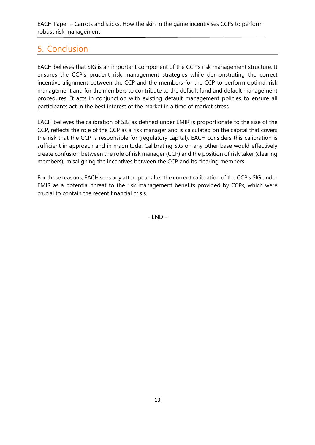# <span id="page-12-0"></span>5. Conclusion

EACH believes that SIG is an important component of the CCP's risk management structure. It ensures the CCP's prudent risk management strategies while demonstrating the correct incentive alignment between the CCP and the members for the CCP to perform optimal risk management and for the members to contribute to the default fund and default management procedures. It acts in conjunction with existing default management policies to ensure all participants act in the best interest of the market in a time of market stress.

EACH believes the calibration of SIG as defined under EMIR is proportionate to the size of the CCP, reflects the role of the CCP as a risk manager and is calculated on the capital that covers the risk that the CCP is responsible for (regulatory capital). EACH considers this calibration is sufficient in approach and in magnitude. Calibrating SIG on any other base would effectively create confusion between the role of risk manager (CCP) and the position of risk taker (clearing members), misaligning the incentives between the CCP and its clearing members.

For these reasons, EACH sees any attempt to alter the current calibration of the CCP's SIG under EMIR as a potential threat to the risk management benefits provided by CCPs, which were crucial to contain the recent financial crisis.

- END -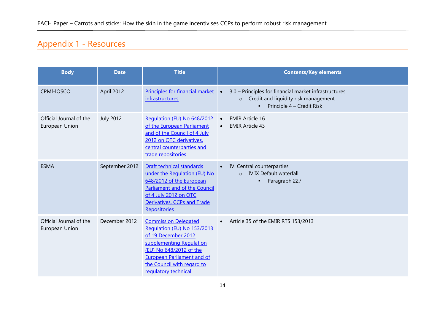# Appendix 1 - Resources

<span id="page-13-0"></span>

| <b>Body</b>                               | <b>Date</b>      | <b>Title</b>                                                                                                                                                                                                                        | <b>Contents/Key elements</b>                                                                                                                       |
|-------------------------------------------|------------------|-------------------------------------------------------------------------------------------------------------------------------------------------------------------------------------------------------------------------------------|----------------------------------------------------------------------------------------------------------------------------------------------------|
| CPMI-IOSCO                                | April 2012       | Principles for financial market<br>infrastructures                                                                                                                                                                                  | 3.0 - Principles for financial market infrastructures<br>$\bullet$<br>Credit and liquidity risk management<br>$\circ$<br>Principle 4 - Credit Risk |
| Official Journal of the<br>European Union | <b>July 2012</b> | Regulation (EU) No 648/2012<br>of the European Parliament<br>and of the Council of 4 July<br>2012 on OTC derivatives,<br>central counterparties and<br>trade repositories                                                           | <b>EMIR Article 16</b><br>$\bullet$<br><b>EMIR Article 43</b>                                                                                      |
| <b>ESMA</b>                               | September 2012   | Draft technical standards<br>under the Regulation (EU) No<br>648/2012 of the European<br>Parliament and of the Council<br>of 4 July 2012 on OTC<br>Derivatives, CCPs and Trade<br>Repositories                                      | IV. Central counterparties<br><b>IV.IX Default waterfall</b><br>$\Omega$<br>Paragraph 227                                                          |
| Official Journal of the<br>European Union | December 2012    | <b>Commission Delegated</b><br>Regulation (EU) No 153/2013<br>of 19 December 2012<br>supplementing Regulation<br>(EU) No 648/2012 of the<br><b>European Parliament and of</b><br>the Council with regard to<br>requlatory technical | Article 35 of the EMIR RTS 153/2013                                                                                                                |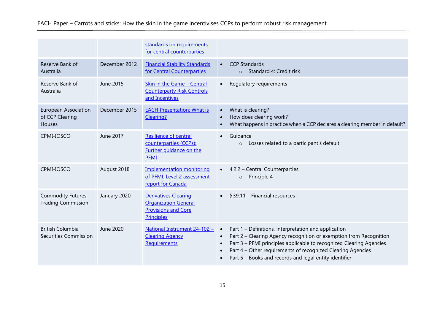|                                                                 |               | standards on requirements<br>for central counterparties                                                       |                                                                                                                                                                                                                                                                                                                                                                   |
|-----------------------------------------------------------------|---------------|---------------------------------------------------------------------------------------------------------------|-------------------------------------------------------------------------------------------------------------------------------------------------------------------------------------------------------------------------------------------------------------------------------------------------------------------------------------------------------------------|
| Reserve Bank of<br>Australia                                    | December 2012 | <b>Financial Stability Standards</b><br>for Central Counterparties                                            | <b>CCP Standards</b><br>$\bullet$<br>Standard 4: Credit risk<br>$\circ$                                                                                                                                                                                                                                                                                           |
| Reserve Bank of<br>Australia                                    | June 2015     | Skin in the Game - Central<br><b>Counterparty Risk Controls</b><br>and Incentives                             | Regulatory requirements<br>$\bullet$                                                                                                                                                                                                                                                                                                                              |
| <b>European Association</b><br>of CCP Clearing<br><b>Houses</b> | December 2015 | <b>EACH Presentation: What is</b><br>Clearing?                                                                | What is clearing?<br>$\bullet$<br>How does clearing work?<br>$\bullet$<br>What happens in practice when a CCP declares a clearing member in default?                                                                                                                                                                                                              |
| CPMI-IOSCO                                                      | June 2017     | <b>Resilience of central</b><br>counterparties (CCPs):<br>Further quidance on the<br><b>PFMI</b>              | Guidance<br>$\bullet$<br>Losses related to a participant's default<br>$\circ$                                                                                                                                                                                                                                                                                     |
| CPMI-IOSCO                                                      | August 2018   | <b>Implementation monitoring</b><br>of PFMI: Level 2 assessment<br>report for Canada                          | 4.2.2 - Central Counterparties<br>Principle 4<br>$\circ$                                                                                                                                                                                                                                                                                                          |
| <b>Commodity Futures</b><br><b>Trading Commission</b>           | January 2020  | <b>Derivatives Clearing</b><br><b>Organization General</b><br><b>Provisions and Core</b><br><b>Principles</b> | § 39.11 - Financial resources                                                                                                                                                                                                                                                                                                                                     |
| <b>British Columbia</b><br>Securities Commission                | June 2020     | National Instrument 24-102 -<br><b>Clearing Agency</b><br>Requirements                                        | Part 1 – Definitions, interpretation and application<br>$\bullet$<br>Part 2 - Clearing Agency recognition or exemption from Recognition<br>$\bullet$<br>Part 3 - PFMI principles applicable to recognized Clearing Agencies<br>$\bullet$<br>Part 4 - Other requirements of recognized Clearing Agencies<br>Part 5 - Books and records and legal entity identifier |